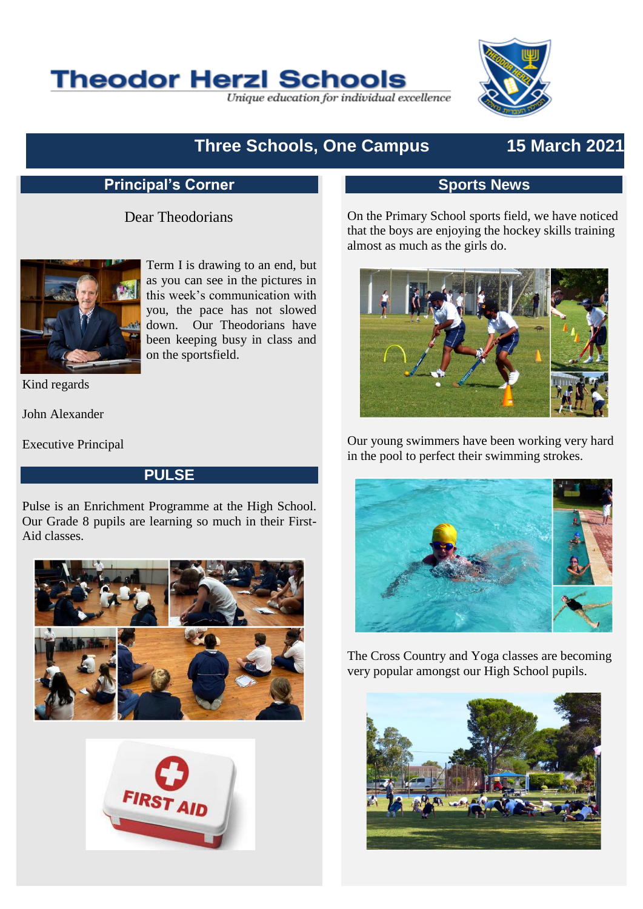

Unique education for individual excellence



# **Three Schools, One Campus 15 March 2021**

## **Principal's Corner**

#### Dear Theodorians



Term I is drawing to an end, but as you can see in the pictures in this week's communication with you, the pace has not slowed down. Our Theodorians have been keeping busy in class and on the sportsfield.

Kind regards

John Alexander

Executive Principal

#### **PULSE**

Pulse is an Enrichment Programme at the High School. Our Grade 8 pupils are learning so much in their First-Aid classes.





## **Sports News**

On the Primary School sports field, we have noticed that the boys are enjoying the hockey skills training almost as much as the girls do.



Our young swimmers have been working very hard in the pool to perfect their swimming strokes.



The Cross Country and Yoga classes are becoming very popular amongst our High School pupils.